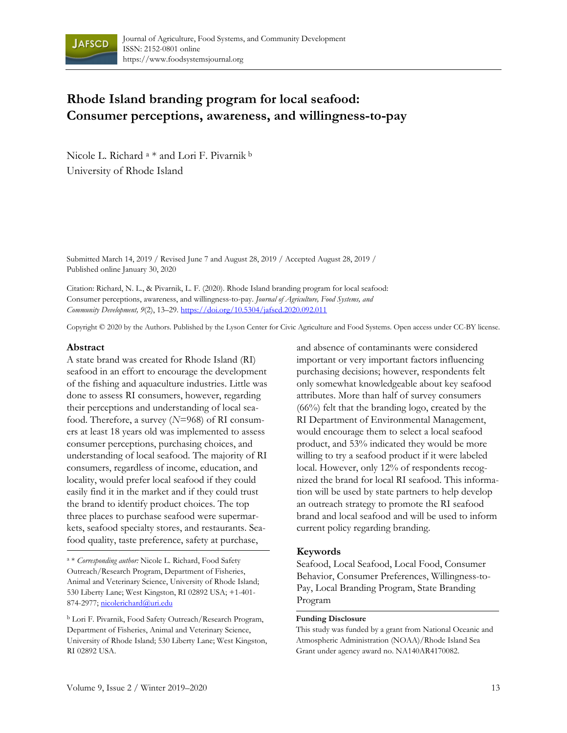

# **Rhode Island branding program for local seafood: Consumer perceptions, awareness, and willingness-to-pay**

Nicole L. Richard a \* and Lori F. Pivarnik b University of Rhode Island

Submitted March 14, 2019 / Revised June 7 and August 28, 2019 / Accepted August 28, 2019 / Published online January 30, 2020

Citation: Richard, N. L., & Pivarnik, L. F. (2020). Rhode Island branding program for local seafood: Consumer perceptions, awareness, and willingness-to-pay. *Journal of Agriculture, Food Systems, and Community Development, 9*(2), 13–29. https://doi.org/10.5304/jafscd.2020.092.011

Copyright © 2020 by the Authors. Published by the Lyson Center for Civic Agriculture and Food Systems. Open access under CC-BY license.

#### **Abstract**

A state brand was created for Rhode Island (RI) seafood in an effort to encourage the development of the fishing and aquaculture industries. Little was done to assess RI consumers, however, regarding their perceptions and understanding of local seafood. Therefore, a survey (*N*=968) of RI consumers at least 18 years old was implemented to assess consumer perceptions, purchasing choices, and understanding of local seafood. The majority of RI consumers, regardless of income, education, and locality, would prefer local seafood if they could easily find it in the market and if they could trust the brand to identify product choices. The top three places to purchase seafood were supermarkets, seafood specialty stores, and restaurants. Seafood quality, taste preference, safety at purchase,

a \* *Corresponding author:* Nicole L. Richard, Food Safety Outreach/Research Program, Department of Fisheries, Animal and Veterinary Science, University of Rhode Island; 530 Liberty Lane; West Kingston, RI 02892 USA; +1-401- 874-2977; nicolerichard@uri.edu

b Lori F. Pivarnik, Food Safety Outreach/Research Program, Department of Fisheries, Animal and Veterinary Science, University of Rhode Island; 530 Liberty Lane; West Kingston, RI 02892 USA.

and absence of contaminants were considered important or very important factors influencing purchasing decisions; however, respondents felt only somewhat knowledgeable about key seafood attributes. More than half of survey consumers (66%) felt that the branding logo, created by the RI Department of Environmental Management, would encourage them to select a local seafood product, and 53% indicated they would be more willing to try a seafood product if it were labeled local. However, only 12% of respondents recognized the brand for local RI seafood. This information will be used by state partners to help develop an outreach strategy to promote the RI seafood brand and local seafood and will be used to inform current policy regarding branding.

#### **Keywords**

Seafood, Local Seafood, Local Food, Consumer Behavior, Consumer Preferences, Willingness-to-Pay, Local Branding Program, State Branding Program

#### **Funding Disclosure**

This study was funded by a grant from National Oceanic and Atmospheric Administration (NOAA)/Rhode Island Sea Grant under agency award no. NA140AR4170082.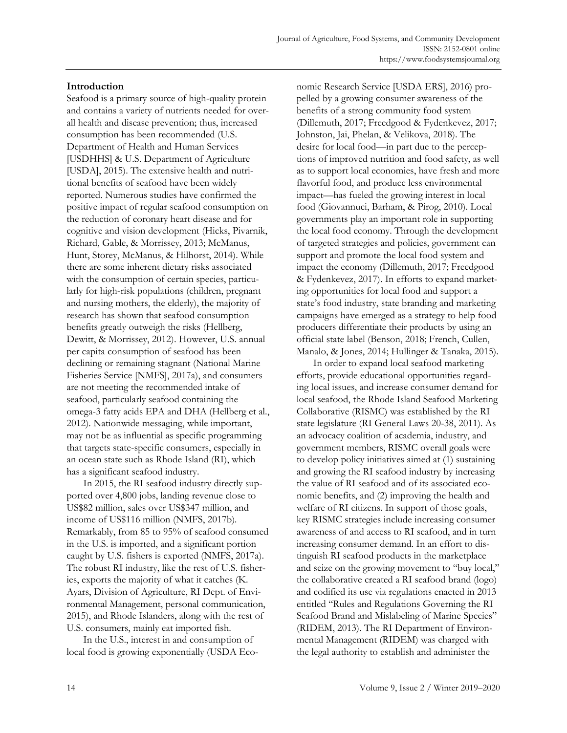# **Introduction**

Seafood is a primary source of high-quality protein and contains a variety of nutrients needed for overall health and disease prevention; thus, increased consumption has been recommended (U.S. Department of Health and Human Services [USDHHS] & U.S. Department of Agriculture [USDA], 2015). The extensive health and nutritional benefits of seafood have been widely reported. Numerous studies have confirmed the positive impact of regular seafood consumption on the reduction of coronary heart disease and for cognitive and vision development (Hicks, Pivarnik, Richard, Gable, & Morrissey, 2013; McManus, Hunt, Storey, McManus, & Hilhorst, 2014). While there are some inherent dietary risks associated with the consumption of certain species, particularly for high-risk populations (children, pregnant and nursing mothers, the elderly), the majority of research has shown that seafood consumption benefits greatly outweigh the risks (Hellberg, Dewitt, & Morrissey, 2012). However, U.S. annual per capita consumption of seafood has been declining or remaining stagnant (National Marine Fisheries Service [NMFS], 2017a), and consumers are not meeting the recommended intake of seafood, particularly seafood containing the omega-3 fatty acids EPA and DHA (Hellberg et al., 2012). Nationwide messaging, while important, may not be as influential as specific programming that targets state-specific consumers, especially in an ocean state such as Rhode Island (RI), which has a significant seafood industry.

 In 2015, the RI seafood industry directly supported over 4,800 jobs, landing revenue close to US\$82 million, sales over US\$347 million, and income of US\$116 million (NMFS, 2017b)*.*  Remarkably, from 85 to 95% of seafood consumed in the U.S. is imported, and a significant portion caught by U.S. fishers is exported (NMFS, 2017a). The robust RI industry, like the rest of U.S. fisheries, exports the majority of what it catches (K. Ayars, Division of Agriculture, RI Dept. of Environmental Management, personal communication, 2015), and Rhode Islanders, along with the rest of U.S. consumers, mainly eat imported fish.

 In the U.S., interest in and consumption of local food is growing exponentially (USDA Eco-

nomic Research Service [USDA ERS], 2016) propelled by a growing consumer awareness of the benefits of a strong community food system (Dillemuth, 2017; Freedgood & Fydenkevez, 2017; Johnston, Jai, Phelan, & Velikova, 2018). The desire for local food—in part due to the perceptions of improved nutrition and food safety, as well as to support local economies, have fresh and more flavorful food, and produce less environmental impact—has fueled the growing interest in local food (Giovannuci, Barham, & Pirog, 2010). Local governments play an important role in supporting the local food economy. Through the development of targeted strategies and policies, government can support and promote the local food system and impact the economy (Dillemuth, 2017; Freedgood & Fydenkevez, 2017). In efforts to expand marketing opportunities for local food and support a state's food industry, state branding and marketing campaigns have emerged as a strategy to help food producers differentiate their products by using an official state label (Benson, 2018; French, Cullen, Manalo, & Jones, 2014; Hullinger & Tanaka, 2015).

 In order to expand local seafood marketing efforts, provide educational opportunities regarding local issues, and increase consumer demand for local seafood, the Rhode Island Seafood Marketing Collaborative (RISMC) was established by the RI state legislature (RI General Laws 20-38, 2011). As an advocacy coalition of academia, industry, and government members, RISMC overall goals were to develop policy initiatives aimed at (1) sustaining and growing the RI seafood industry by increasing the value of RI seafood and of its associated economic benefits, and (2) improving the health and welfare of RI citizens. In support of those goals, key RISMC strategies include increasing consumer awareness of and access to RI seafood, and in turn increasing consumer demand. In an effort to distinguish RI seafood products in the marketplace and seize on the growing movement to "buy local," the collaborative created a RI seafood brand (logo) and codified its use via regulations enacted in 2013 entitled "Rules and Regulations Governing the RI Seafood Brand and Mislabeling of Marine Species" (RIDEM, 2013). The RI Department of Environmental Management (RIDEM) was charged with the legal authority to establish and administer the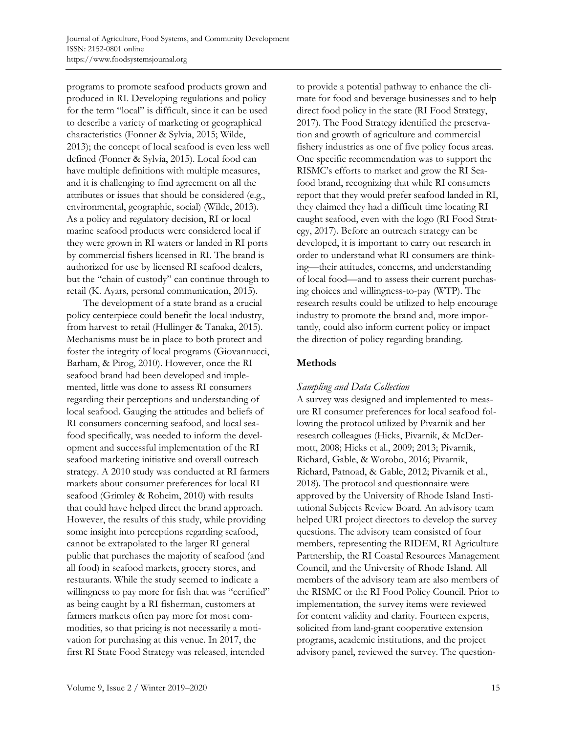programs to promote seafood products grown and produced in RI. Developing regulations and policy for the term "local" is difficult, since it can be used to describe a variety of marketing or geographical characteristics (Fonner & Sylvia, 2015; Wilde, 2013); the concept of local seafood is even less well defined (Fonner & Sylvia, 2015). Local food can have multiple definitions with multiple measures, and it is challenging to find agreement on all the attributes or issues that should be considered (e.g., environmental, geographic, social) (Wilde, 2013). As a policy and regulatory decision, RI or local marine seafood products were considered local if they were grown in RI waters or landed in RI ports by commercial fishers licensed in RI. The brand is authorized for use by licensed RI seafood dealers, but the "chain of custody" can continue through to retail (K. Ayars, personal communication, 2015).

 The development of a state brand as a crucial policy centerpiece could benefit the local industry, from harvest to retail (Hullinger & Tanaka, 2015). Mechanisms must be in place to both protect and foster the integrity of local programs (Giovannucci, Barham, & Pirog, 2010). However, once the RI seafood brand had been developed and implemented, little was done to assess RI consumers regarding their perceptions and understanding of local seafood. Gauging the attitudes and beliefs of RI consumers concerning seafood, and local seafood specifically, was needed to inform the development and successful implementation of the RI seafood marketing initiative and overall outreach strategy. A 2010 study was conducted at RI farmers markets about consumer preferences for local RI seafood (Grimley & Roheim, 2010) with results that could have helped direct the brand approach. However, the results of this study, while providing some insight into perceptions regarding seafood, cannot be extrapolated to the larger RI general public that purchases the majority of seafood (and all food) in seafood markets, grocery stores, and restaurants. While the study seemed to indicate a willingness to pay more for fish that was "certified" as being caught by a RI fisherman, customers at farmers markets often pay more for most commodities, so that pricing is not necessarily a motivation for purchasing at this venue. In 2017, the first RI State Food Strategy was released, intended

to provide a potential pathway to enhance the climate for food and beverage businesses and to help direct food policy in the state (RI Food Strategy, 2017). The Food Strategy identified the preservation and growth of agriculture and commercial fishery industries as one of five policy focus areas. One specific recommendation was to support the RISMC's efforts to market and grow the RI Seafood brand, recognizing that while RI consumers report that they would prefer seafood landed in RI, they claimed they had a difficult time locating RI caught seafood, even with the logo (RI Food Strategy, 2017). Before an outreach strategy can be developed, it is important to carry out research in order to understand what RI consumers are thinking—their attitudes, concerns, and understanding of local food—and to assess their current purchasing choices and willingness-to-pay (WTP). The research results could be utilized to help encourage industry to promote the brand and, more importantly, could also inform current policy or impact the direction of policy regarding branding.

# **Methods**

# *Sampling and Data Collection*

A survey was designed and implemented to measure RI consumer preferences for local seafood following the protocol utilized by Pivarnik and her research colleagues (Hicks, Pivarnik, & McDermott, 2008; Hicks et al., 2009; 2013; Pivarnik, Richard, Gable, & Worobo, 2016; Pivarnik, Richard, Patnoad, & Gable, 2012; Pivarnik et al., 2018)*.* The protocol and questionnaire were approved by the University of Rhode Island Institutional Subjects Review Board. An advisory team helped URI project directors to develop the survey questions. The advisory team consisted of four members, representing the RIDEM, RI Agriculture Partnership, the RI Coastal Resources Management Council, and the University of Rhode Island. All members of the advisory team are also members of the RISMC or the RI Food Policy Council. Prior to implementation, the survey items were reviewed for content validity and clarity. Fourteen experts, solicited from land-grant cooperative extension programs, academic institutions, and the project advisory panel, reviewed the survey. The question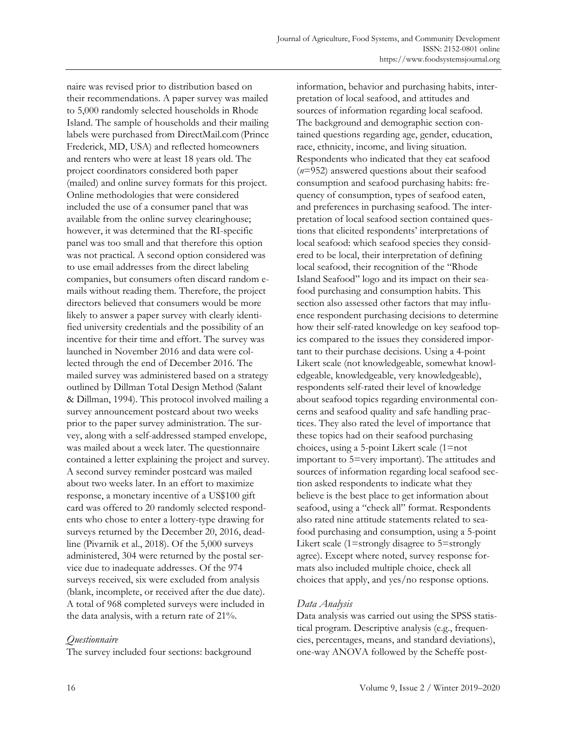naire was revised prior to distribution based on their recommendations. A paper survey was mailed to 5,000 randomly selected households in Rhode Island. The sample of households and their mailing labels were purchased from DirectMail.com(Prince Frederick, MD, USA) and reflected homeowners and renters who were at least 18 years old. The project coordinators considered both paper (mailed) and online survey formats for this project. Online methodologies that were considered included the use of a consumer panel that was available from the online survey clearinghouse; however, it was determined that the RI-specific panel was too small and that therefore this option was not practical. A second option considered was to use email addresses from the direct labeling companies, but consumers often discard random emails without reading them. Therefore, the project directors believed that consumers would be more likely to answer a paper survey with clearly identified university credentials and the possibility of an incentive for their time and effort. The survey was launched in November 2016 and data were collected through the end of December 2016. The mailed survey was administered based on a strategy outlined by Dillman Total Design Method (Salant & Dillman, 1994). This protocol involved mailing a survey announcement postcard about two weeks prior to the paper survey administration. The survey, along with a self-addressed stamped envelope, was mailed about a week later. The questionnaire contained a letter explaining the project and survey. A second survey reminder postcard was mailed about two weeks later. In an effort to maximize response, a monetary incentive of a US\$100 gift card was offered to 20 randomly selected respondents who chose to enter a lottery-type drawing for surveys returned by the December 20, 2016, deadline (Pivarnik et al., 2018). Of the 5,000 surveys administered, 304 were returned by the postal service due to inadequate addresses. Of the 974 surveys received, six were excluded from analysis (blank, incomplete, or received after the due date). A total of 968 completed surveys were included in the data analysis, with a return rate of 21%.

### *Questionnaire*

The survey included four sections: background

information, behavior and purchasing habits, interpretation of local seafood, and attitudes and sources of information regarding local seafood. The background and demographic section contained questions regarding age, gender, education, race, ethnicity, income, and living situation. Respondents who indicated that they eat seafood (*n*=952) answered questions about their seafood consumption and seafood purchasing habits: frequency of consumption, types of seafood eaten, and preferences in purchasing seafood. The interpretation of local seafood section contained questions that elicited respondents' interpretations of local seafood: which seafood species they considered to be local, their interpretation of defining local seafood, their recognition of the "Rhode Island Seafood" logo and its impact on their seafood purchasing and consumption habits. This section also assessed other factors that may influence respondent purchasing decisions to determine how their self-rated knowledge on key seafood topics compared to the issues they considered important to their purchase decisions. Using a 4-point Likert scale (not knowledgeable, somewhat knowledgeable, knowledgeable, very knowledgeable), respondents self-rated their level of knowledge about seafood topics regarding environmental concerns and seafood quality and safe handling practices. They also rated the level of importance that these topics had on their seafood purchasing choices, using a 5-point Likert scale (1=not important to 5=very important). The attitudes and sources of information regarding local seafood section asked respondents to indicate what they believe is the best place to get information about seafood, using a "check all" format. Respondents also rated nine attitude statements related to seafood purchasing and consumption, using a 5-point Likert scale (1=strongly disagree to 5=strongly agree). Except where noted, survey response formats also included multiple choice, check all choices that apply, and yes/no response options.

# *Data Analysis*

Data analysis was carried out using the SPSS statistical program. Descriptive analysis (e.g., frequencies, percentages, means, and standard deviations), one-way ANOVA followed by the Scheffe post-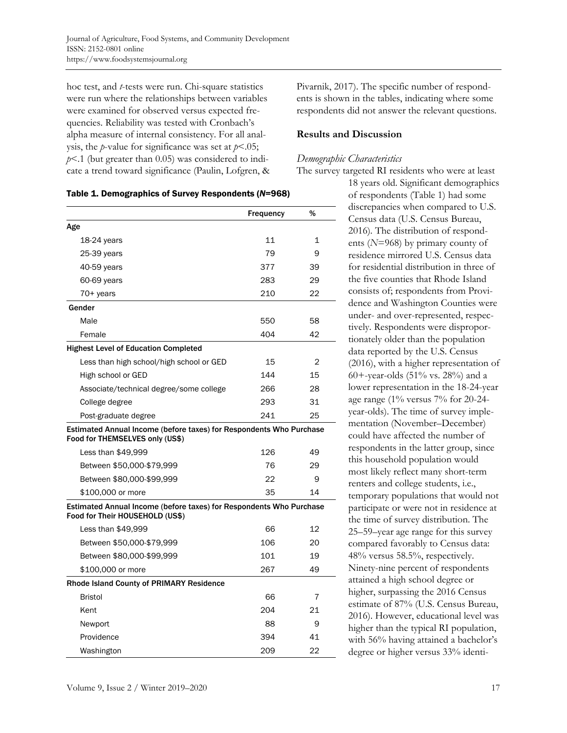hoc test, and *t*-tests were run. Chi-square statistics were run where the relationships between variables were examined for observed versus expected frequencies. Reliability was tested with Cronbach's alpha measure of internal consistency. For all analysis, the *p*-value for significance was set at *p*<.05; *p*<.1 (but greater than 0.05) was considered to indicate a trend toward significance (Paulin, Lofgren, &

#### Table 1. Demographics of Survey Respondents (*N*=968)

|                                                                                                        | <b>Frequency</b> | %            |
|--------------------------------------------------------------------------------------------------------|------------------|--------------|
| Age                                                                                                    |                  |              |
| $18-24$ years                                                                                          | 11               | $\mathbf{1}$ |
| 25-39 years                                                                                            | 79               | 9            |
| 40-59 years                                                                                            | 377              | 39           |
| 60-69 years                                                                                            | 283              | 29           |
| 70+ years                                                                                              | 210              | 22           |
| Gender                                                                                                 |                  |              |
| Male                                                                                                   | 550              | 58           |
| Female                                                                                                 | 404              | 42           |
| <b>Highest Level of Education Completed</b>                                                            |                  |              |
| Less than high school/high school or GED                                                               | 15               | 2            |
| High school or GED                                                                                     | 144              | 15           |
| Associate/technical degree/some college                                                                | 266              | 28           |
| College degree                                                                                         | 293              | 31           |
| Post-graduate degree                                                                                   | 241              | 25           |
| Estimated Annual Income (before taxes) for Respondents Who Purchase<br>Food for THEMSELVES only (US\$) |                  |              |
| Less than \$49,999                                                                                     | 126              | 49           |
| Between \$50,000-\$79,999                                                                              | 76               | 29           |
| Between \$80,000-\$99,999                                                                              | 22               | 9            |
| \$100,000 or more                                                                                      | 35               | 14           |
| Estimated Annual Income (before taxes) for Respondents Who Purchase<br>Food for Their HOUSEHOLD (US\$) |                  |              |
| Less than \$49,999                                                                                     | 66               | 12           |
| Between \$50,000-\$79,999                                                                              | 106              | 20           |
| Between \$80,000-\$99,999                                                                              | 101              | 19           |
| \$100,000 or more                                                                                      | 267              | 49           |
| <b>Rhode Island County of PRIMARY Residence</b>                                                        |                  |              |
| <b>Bristol</b>                                                                                         | 66               | 7            |
| Kent                                                                                                   | 204              | 21           |
| Newport                                                                                                | 88               | 9            |
| Providence                                                                                             | 394              | 41           |
| Washington                                                                                             | 209              | 22           |

Pivarnik, 2017). The specific number of respondents is shown in the tables, indicating where some respondents did not answer the relevant questions.

#### **Results and Discussion**

#### *Demographic Characteristics*

The survey targeted RI residents who were at least

18 years old. Significant demographics of respondents (Table 1) had some discrepancies when compared to U.S. Census data (U.S. Census Bureau, 2016)*.* The distribution of respondents (*N*=968) by primary county of residence mirrored U.S. Census data for residential distribution in three of the five counties that Rhode Island consists of; respondents from Providence and Washington Counties were under- and over-represented, respectively. Respondents were disproportionately older than the population data reported by the U.S. Census (2016), with a higher representation of 60+-year-olds (51% vs. 28%) and a lower representation in the 18-24-year age range (1% versus 7% for 20-24 year-olds). The time of survey implementation (November–December) could have affected the number of respondents in the latter group, since this household population would most likely reflect many short-term renters and college students, i.e., temporary populations that would not participate or were not in residence at the time of survey distribution. The 25–59–year age range for this survey compared favorably to Census data: 48% versus 58.5%, respectively. Ninety-nine percent of respondents attained a high school degree or higher, surpassing the 2016 Census estimate of 87% (U.S. Census Bureau, 2016). However, educational level was higher than the typical RI population, with 56% having attained a bachelor's degree or higher versus 33% identi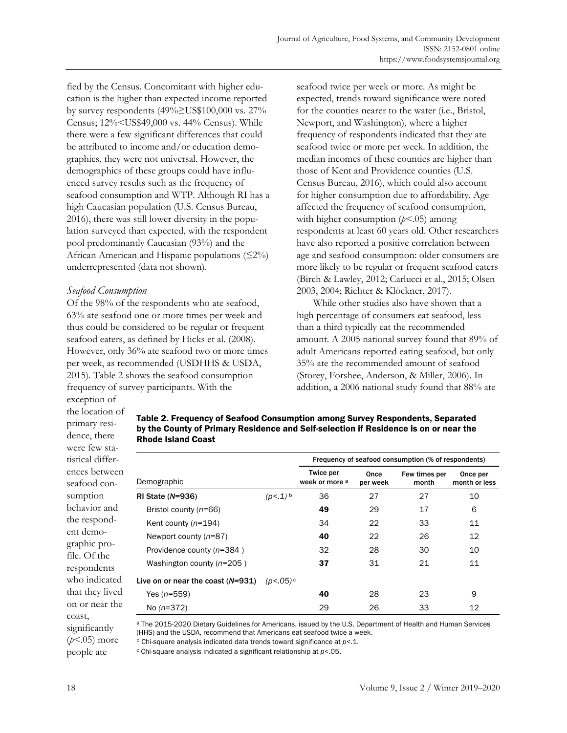fied by the Census. Concomitant with higher education is the higher than expected income reported by survey respondents (49%≥US\$100,000 vs. 27% Census; 12%<US\$49,000 vs. 44% Census). While there were a few significant differences that could be attributed to income and/or education demographics, they were not universal. However, the demographics of these groups could have influenced survey results such as the frequency of seafood consumption and WTP. Although RI has a high Caucasian population (U.S. Census Bureau, 2016), there was still lower diversity in the population surveyed than expected, with the respondent pool predominantly Caucasian (93%) and the African American and Hispanic populations  $(\leq 2\%)$ underrepresented (data not shown).

### *Seafood Consumption*

Of the 98% of the respondents who ate seafood, 63% ate seafood one or more times per week and thus could be considered to be regular or frequent seafood eaters, as defined by Hicks et al. (2008)*.*  However, only 36% ate seafood two or more times per week, as recommended (USDHHS & USDA, 2015)*.* Table 2 shows the seafood consumption frequency of survey participants. With the

seafood twice per week or more. As might be expected, trends toward significance were noted for the counties nearer to the water (i.e., Bristol, Newport, and Washington), where a higher frequency of respondents indicated that they ate seafood twice or more per week. In addition, the median incomes of these counties are higher than those of Kent and Providence counties (U.S. Census Bureau, 2016), which could also account for higher consumption due to affordability. Age affected the frequency of seafood consumption, with higher consumption (*p*<.05) among respondents at least 60 years old. Other researchers have also reported a positive correlation between age and seafood consumption: older consumers are more likely to be regular or frequent seafood eaters (Birch & Lawley, 2012; Carlucci et al., 2015; Olsen 2003, 2004; Richter & Klöckner, 2017).

 While other studies also have shown that a high percentage of consumers eat seafood, less than a third typically eat the recommended amount. A 2005 national survey found that 89% of adult Americans reported eating seafood, but only 35% ate the recommended amount of seafood (Storey, Forshee, Anderson, & Miller, 2006). In addition, a 2006 national study found that 88% ate

exception of the location of primary residence, there were few statistical differences between seafood consumption behavior and the respondent demographic profile. Of the respondents who indicated that they lived on or near the coast, significantly (*p*<.05) more people ate

| Table 2. Frequency of Seafood Consumption among Survey Respondents, Separated        |
|--------------------------------------------------------------------------------------|
| by the County of Primary Residence and Self-selection if Residence is on or near the |
| <b>Rhode Island Coast</b>                                                            |

|                                     |                       | Frequency of seafood consumption (% of respondents) |                  |                        |                           |  |  |
|-------------------------------------|-----------------------|-----------------------------------------------------|------------------|------------------------|---------------------------|--|--|
| Demographic                         |                       | <b>Twice per</b><br>week or more a                  | Once<br>per week | Few times per<br>month | Once per<br>month or less |  |  |
| $RI State (N=936)$                  | $(p<.1)$ <sup>b</sup> | 36                                                  | 27               | 27                     | 10                        |  |  |
| Bristol county (n=66)               |                       | 49                                                  | 29               | 17                     | 6                         |  |  |
| Kent county $(n=194)$               |                       | 34                                                  | 22               | 33                     | 11                        |  |  |
| Newport county $(n=87)$             |                       | 40                                                  | 22               | 26                     | 12                        |  |  |
| Providence county (n=384)           |                       | 32                                                  | 28               | 30                     | 10                        |  |  |
| Washington county $(n=205)$         |                       | 37                                                  | 31               | 21                     | 11                        |  |  |
| Live on or near the coast $(N=931)$ | (p<.05)               |                                                     |                  |                        |                           |  |  |
| Yes $(n=559)$                       |                       | 40                                                  | 28               | 23                     | 9                         |  |  |
| No $(n=372)$                        |                       | 29                                                  | 26               | 33                     | 12                        |  |  |

a The 2015-2020 Dietary Guidelines for Americans, issued by the U.S. Department of Health and Human Services (HHS) and the USDA, recommend that Americans eat seafood twice a week.

b Chi-square analysis indicated data trends toward significance at *p*<.1.

c Chi-square analysis indicated a significant relationship at *p*<.05.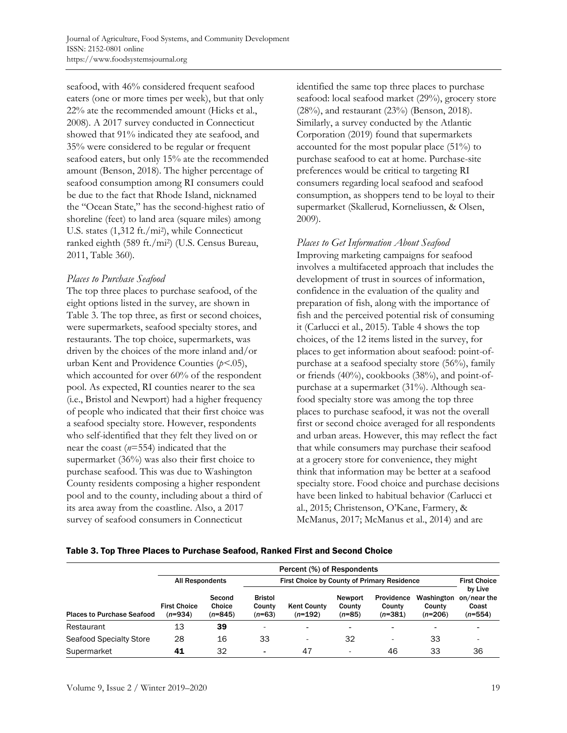seafood, with 46% considered frequent seafood eaters (one or more times per week), but that only 22% ate the recommended amount (Hicks et al., 2008). A 2017 survey conducted in Connecticut showed that 91% indicated they ate seafood, and 35% were considered to be regular or frequent seafood eaters, but only 15% ate the recommended amount (Benson, 2018). The higher percentage of seafood consumption among RI consumers could be due to the fact that Rhode Island, nicknamed the "Ocean State," has the second-highest ratio of shoreline (feet) to land area (square miles) among U.S. states (1,312 ft./mi2), while Connecticut ranked eighth (589 ft./mi2) (U.S. Census Bureau, 2011, Table 360)*.* 

### *Places to Purchase Seafood*

The top three places to purchase seafood, of the eight options listed in the survey, are shown in Table 3. The top three, as first or second choices, were supermarkets, seafood specialty stores, and restaurants. The top choice, supermarkets, was driven by the choices of the more inland and/or urban Kent and Providence Counties (*p<*.05), which accounted for over 60% of the respondent pool. As expected, RI counties nearer to the sea (i.e., Bristol and Newport) had a higher frequency of people who indicated that their first choice was a seafood specialty store. However, respondents who self-identified that they felt they lived on or near the coast (*n*=554) indicated that the supermarket (36%) was also their first choice to purchase seafood. This was due to Washington County residents composing a higher respondent pool and to the county, including about a third of its area away from the coastline. Also, a 2017 survey of seafood consumers in Connecticut

identified the same top three places to purchase seafood: local seafood market (29%), grocery store (28%), and restaurant (23%) (Benson, 2018). Similarly, a survey conducted by the Atlantic Corporation (2019) found that supermarkets accounted for the most popular place (51%) to purchase seafood to eat at home. Purchase-site preferences would be critical to targeting RI consumers regarding local seafood and seafood consumption, as shoppers tend to be loyal to their supermarket (Skallerud, Korneliussen, & Olsen, 2009).

*Places to Get Information About Seafood*  Improving marketing campaigns for seafood involves a multifaceted approach that includes the development of trust in sources of information, confidence in the evaluation of the quality and preparation of fish, along with the importance of fish and the perceived potential risk of consuming it (Carlucci et al., 2015). Table 4 shows the top choices, of the 12 items listed in the survey, for places to get information about seafood: point-ofpurchase at a seafood specialty store (56%), family or friends (40%), cookbooks (38%), and point-ofpurchase at a supermarket (31%). Although seafood specialty store was among the top three places to purchase seafood, it was not the overall first or second choice averaged for all respondents and urban areas. However, this may reflect the fact that while consumers may purchase their seafood at a grocery store for convenience, they might think that information may be better at a seafood specialty store. Food choice and purchase decisions have been linked to habitual behavior (Carlucci et al., 2015; Christenson, O'Kane, Farmery, & McManus, 2017; McManus et al., 2014) and are

#### Table 3. Top Three Places to Purchase Seafood, Ranked First and Second Choice

|                                   | Percent (%) of Respondents       |                               |                                             |                                 |                               |                                   |                                   |                                              |
|-----------------------------------|----------------------------------|-------------------------------|---------------------------------------------|---------------------------------|-------------------------------|-----------------------------------|-----------------------------------|----------------------------------------------|
|                                   | <b>All Respondents</b>           |                               | First Choice by County of Primary Residence |                                 |                               |                                   |                                   | <b>First Choice</b>                          |
| <b>Places to Purchase Seafood</b> | <b>First Choice</b><br>$(n=934)$ | Second<br>Choice<br>$(n=845)$ | <b>Bristol</b><br>County<br>$(n=63)$        | <b>Kent County</b><br>$(n=192)$ | Newport<br>County<br>$(n=85)$ | Providence<br>County<br>$(n=381)$ | Washington<br>County<br>$(n=206)$ | by Live<br>on/near the<br>Coast<br>$(n=554)$ |
| Restaurant                        | 13                               | 39                            | -                                           | $\blacksquare$                  | $\blacksquare$                | ٠                                 | $\bullet$                         |                                              |
| Seafood Specialty Store           | 28                               | 16                            | 33                                          | $\overline{\phantom{a}}$        | 32                            | ٠                                 | 33                                |                                              |
| Supermarket                       | 41                               | 32                            | ۰                                           | 47                              |                               | 46                                | 33                                | 36                                           |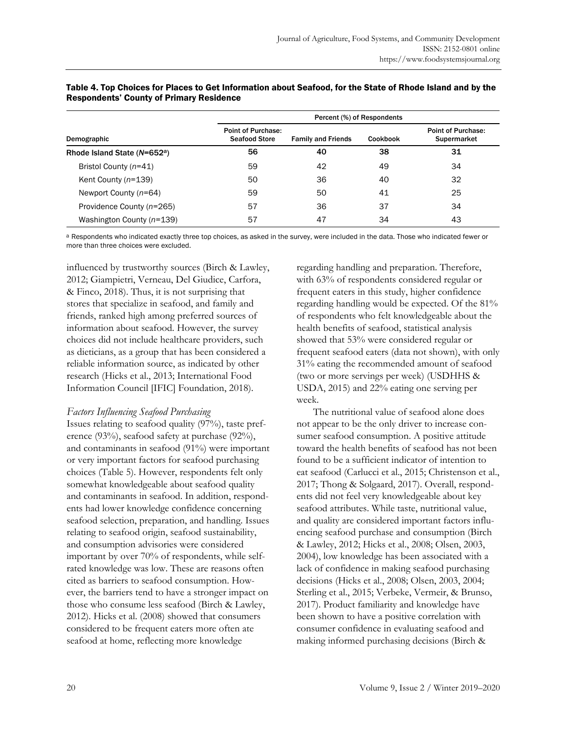|                                          | Percent (%) of Respondents                        |                           |          |                                                 |  |  |
|------------------------------------------|---------------------------------------------------|---------------------------|----------|-------------------------------------------------|--|--|
| Demographic                              | <b>Point of Purchase:</b><br><b>Seafood Store</b> | <b>Family and Friends</b> | Cookbook | <b>Point of Purchase:</b><br><b>Supermarket</b> |  |  |
| Rhode Island State (N=652 <sup>a</sup> ) | 56                                                | 40                        | 38       | 31                                              |  |  |
| Bristol County (n=41)                    | 59                                                | 42                        | 49       | 34                                              |  |  |
| Kent County $(n=139)$                    | 50                                                | 36                        | 40       | 32                                              |  |  |
| Newport County $(n=64)$                  | 59                                                | 50                        | 41       | 25                                              |  |  |
| Providence County (n=265)                | 57                                                | 36                        | 37       | 34                                              |  |  |
| Washington County (n=139)                | 57                                                | 47                        | 34       | 43                                              |  |  |

### Table 4. Top Choices for Places to Get Information about Seafood, for the State of Rhode Island and by the Respondents' County of Primary Residence

a Respondents who indicated exactly three top choices, as asked in the survey, were included in the data. Those who indicated fewer or more than three choices were excluded.

influenced by trustworthy sources (Birch & Lawley, 2012; Giampietri, Verneau, Del Giudice, Carfora, & Finco, 2018). Thus, it is not surprising that stores that specialize in seafood, and family and friends, ranked high among preferred sources of information about seafood. However, the survey choices did not include healthcare providers, such as dieticians, as a group that has been considered a reliable information source, as indicated by other research (Hicks et al., 2013; International Food Information Council [IFIC] Foundation, 2018).

### *Factors Influencing Seafood Purchasing*

Issues relating to seafood quality (97%), taste preference (93%), seafood safety at purchase (92%), and contaminants in seafood (91%) were important or very important factors for seafood purchasing choices (Table 5). However, respondents felt only somewhat knowledgeable about seafood quality and contaminants in seafood. In addition, respondents had lower knowledge confidence concerning seafood selection, preparation, and handling. Issues relating to seafood origin, seafood sustainability, and consumption advisories were considered important by over 70% of respondents, while selfrated knowledge was low. These are reasons often cited as barriers to seafood consumption. However, the barriers tend to have a stronger impact on those who consume less seafood (Birch & Lawley, 2012). Hicks et al. (2008) showed that consumers considered to be frequent eaters more often ate seafood at home, reflecting more knowledge

regarding handling and preparation. Therefore, with 63% of respondents considered regular or frequent eaters in this study, higher confidence regarding handling would be expected. Of the 81% of respondents who felt knowledgeable about the health benefits of seafood, statistical analysis showed that 53% were considered regular or frequent seafood eaters (data not shown), with only 31% eating the recommended amount of seafood (two or more servings per week) (USDHHS & USDA, 2015) and 22% eating one serving per week.

 The nutritional value of seafood alone does not appear to be the only driver to increase consumer seafood consumption. A positive attitude toward the health benefits of seafood has not been found to be a sufficient indicator of intention to eat seafood (Carlucci et al., 2015; Christenson et al., 2017; Thong & Solgaard, 2017). Overall, respondents did not feel very knowledgeable about key seafood attributes. While taste, nutritional value, and quality are considered important factors influencing seafood purchase and consumption (Birch & Lawley, 2012; Hicks et al., 2008; Olsen, 2003, 2004), low knowledge has been associated with a lack of confidence in making seafood purchasing decisions (Hicks et al., 2008; Olsen, 2003, 2004; Sterling et al., 2015; Verbeke, Vermeir, & Brunso, 2017). Product familiarity and knowledge have been shown to have a positive correlation with consumer confidence in evaluating seafood and making informed purchasing decisions (Birch &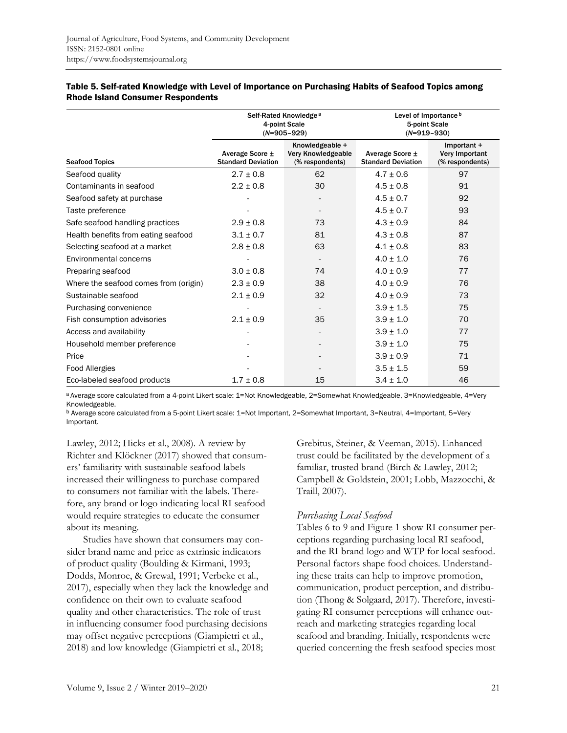|                                       |                                              | Self-Rated Knowledge <sup>a</sup><br>4-point Scale<br>$(N=905-929)$ | Level of Importance <sup>b</sup><br>5-point Scale<br>$(N=919-930)$ |                                                  |  |
|---------------------------------------|----------------------------------------------|---------------------------------------------------------------------|--------------------------------------------------------------------|--------------------------------------------------|--|
| <b>Seafood Topics</b>                 | Average Score ±<br><b>Standard Deviation</b> | Knowledgeable +<br>Very Knowledgeable<br>(% respondents)            | Average Score ±<br><b>Standard Deviation</b>                       | Important +<br>Very Important<br>(% respondents) |  |
| Seafood quality                       | $2.7 \pm 0.8$                                | 62                                                                  | $4.7 \pm 0.6$                                                      | 97                                               |  |
| Contaminants in seafood               | $2.2 \pm 0.8$                                | 30                                                                  | $4.5 \pm 0.8$                                                      | 91                                               |  |
| Seafood safety at purchase            |                                              |                                                                     | $4.5 \pm 0.7$                                                      | 92                                               |  |
| Taste preference                      |                                              |                                                                     | $4.5 \pm 0.7$                                                      | 93                                               |  |
| Safe seafood handling practices       | $2.9 \pm 0.8$                                | 73                                                                  | $4.3 \pm 0.9$                                                      | 84                                               |  |
| Health benefits from eating seafood   | $3.1 \pm 0.7$                                | 81                                                                  | $4.3 \pm 0.8$                                                      | 87                                               |  |
| Selecting seafood at a market         | $2.8 \pm 0.8$                                | 63                                                                  | $4.1 \pm 0.8$                                                      | 83                                               |  |
| <b>Environmental concerns</b>         |                                              |                                                                     | $4.0 \pm 1.0$                                                      | 76                                               |  |
| Preparing seafood                     | $3.0 \pm 0.8$                                | 74                                                                  | $4.0 \pm 0.9$                                                      | 77                                               |  |
| Where the seafood comes from (origin) | $2.3 \pm 0.9$                                | 38                                                                  | $4.0 \pm 0.9$                                                      | 76                                               |  |
| Sustainable seafood                   | $2.1 \pm 0.9$                                | 32                                                                  | $4.0 \pm 0.9$                                                      | 73                                               |  |
| Purchasing convenience                |                                              |                                                                     | $3.9 \pm 1.5$                                                      | 75                                               |  |
| Fish consumption advisories           | $2.1 \pm 0.9$                                | 35                                                                  | $3.9 \pm 1.0$                                                      | 70                                               |  |
| Access and availability               |                                              |                                                                     | $3.9 \pm 1.0$                                                      | 77                                               |  |
| Household member preference           |                                              |                                                                     | $3.9 \pm 1.0$                                                      | 75                                               |  |
| Price                                 |                                              |                                                                     | $3.9 \pm 0.9$                                                      | 71                                               |  |
| <b>Food Allergies</b>                 |                                              |                                                                     | $3.5 \pm 1.5$                                                      | 59                                               |  |
| Eco-labeled seafood products          | $1.7 \pm 0.8$                                | 15                                                                  | $3.4 \pm 1.0$                                                      | 46                                               |  |

#### Table 5. Self-rated Knowledge with Level of Importance on Purchasing Habits of Seafood Topics among Rhode Island Consumer Respondents

a Average score calculated from a 4-point Likert scale: 1=Not Knowledgeable, 2=Somewhat Knowledgeable, 3=Knowledgeable, 4=Very Knowledgeable.

b Average score calculated from a 5-point Likert scale: 1=Not Important, 2=Somewhat Important, 3=Neutral, 4=Important, 5=Very Important.

Lawley, 2012; Hicks et al., 2008). A review by Richter and Klöckner (2017) showed that consumers' familiarity with sustainable seafood labels increased their willingness to purchase compared to consumers not familiar with the labels. Therefore, any brand or logo indicating local RI seafood would require strategies to educate the consumer about its meaning.

 Studies have shown that consumers may consider brand name and price as extrinsic indicators of product quality (Boulding & Kirmani, 1993; Dodds, Monroe, & Grewal, 1991; Verbeke et al., 2017), especially when they lack the knowledge and confidence on their own to evaluate seafood quality and other characteristics. The role of trust in influencing consumer food purchasing decisions may offset negative perceptions (Giampietri et al., 2018) and low knowledge (Giampietri et al., 2018;

Grebitus, Steiner, & Veeman, 2015). Enhanced trust could be facilitated by the development of a familiar, trusted brand (Birch & Lawley, 2012; Campbell & Goldstein, 2001; Lobb, Mazzocchi, & Traill, 2007).

### *Purchasing Local Seafood*

Tables 6 to 9 and Figure 1 show RI consumer perceptions regarding purchasing local RI seafood, and the RI brand logo and WTP for local seafood. Personal factors shape food choices. Understanding these traits can help to improve promotion, communication, product perception, and distribution (Thong & Solgaard, 2017). Therefore, investigating RI consumer perceptions will enhance outreach and marketing strategies regarding local seafood and branding. Initially, respondents were queried concerning the fresh seafood species most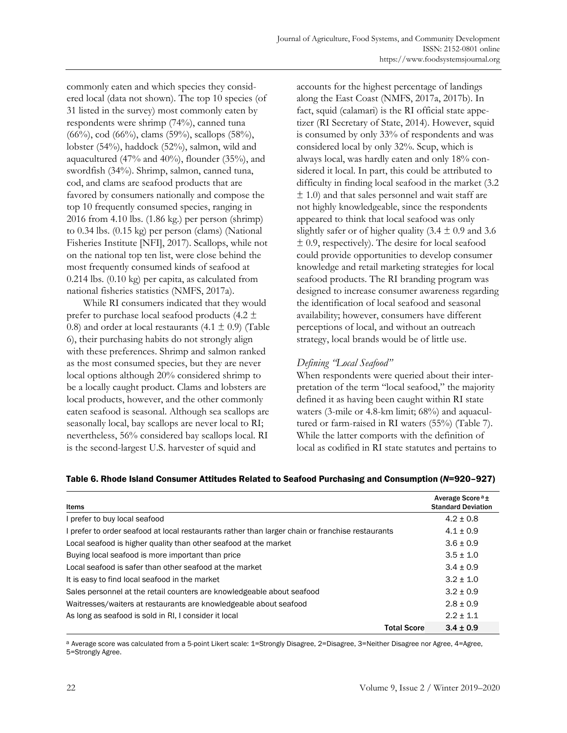commonly eaten and which species they considered local (data not shown). The top 10 species (of 31 listed in the survey) most commonly eaten by respondents were shrimp (74%), canned tuna (66%), cod (66%), clams (59%), scallops (58%), lobster (54%), haddock (52%), salmon, wild and aquacultured (47% and 40%), flounder (35%), and swordfish (34%). Shrimp, salmon, canned tuna, cod, and clams are seafood products that are favored by consumers nationally and compose the top 10 frequently consumed species, ranging in 2016 from 4.10 lbs. (1.86 kg.) per person (shrimp) to 0.34 lbs. (0.15 kg) per person (clams) (National Fisheries Institute [NFI], 2017). Scallops, while not on the national top ten list, were close behind the most frequently consumed kinds of seafood at 0.214 lbs. (0.10 kg) per capita, as calculated from national fisheries statistics (NMFS, 2017a).

 While RI consumers indicated that they would prefer to purchase local seafood products (4.2 ± 0.8) and order at local restaurants  $(4.1 \pm 0.9)$  (Table 6), their purchasing habits do not strongly align with these preferences. Shrimp and salmon ranked as the most consumed species, but they are never local options although 20% considered shrimp to be a locally caught product. Clams and lobsters are local products, however, and the other commonly eaten seafood is seasonal. Although sea scallops are seasonally local, bay scallops are never local to RI; nevertheless, 56% considered bay scallops local. RI is the second-largest U.S. harvester of squid and

accounts for the highest percentage of landings along the East Coast (NMFS, 2017a, 2017b). In fact, squid (calamari) is the RI official state appetizer (RI Secretary of State, 2014). However, squid is consumed by only 33% of respondents and was considered local by only 32%. Scup, which is always local, was hardly eaten and only 18% considered it local. In part, this could be attributed to difficulty in finding local seafood in the market (3.2  $\pm$  1.0) and that sales personnel and wait staff are not highly knowledgeable, since the respondents appeared to think that local seafood was only slightly safer or of higher quality (3.4  $\pm$  0.9 and 3.6  $\pm$  0.9, respectively). The desire for local seafood could provide opportunities to develop consumer knowledge and retail marketing strategies for local seafood products. The RI branding program was designed to increase consumer awareness regarding the identification of local seafood and seasonal availability; however, consumers have different perceptions of local, and without an outreach strategy, local brands would be of little use.

# *Defining "Local Seafood"*

When respondents were queried about their interpretation of the term "local seafood," the majority defined it as having been caught within RI state waters (3-mile or 4.8-km limit; 68%) and aquacultured or farm-raised in RI waters (55%) (Table 7). While the latter comports with the definition of local as codified in RI state statutes and pertains to

| Items                                                                                            | Average Score <sup>a</sup> ±<br><b>Standard Deviation</b> |
|--------------------------------------------------------------------------------------------------|-----------------------------------------------------------|
| I prefer to buy local seafood                                                                    | $4.2 + 0.8$                                               |
| I prefer to order seafood at local restaurants rather than larger chain or franchise restaurants | $4.1 \pm 0.9$                                             |
| Local seafood is higher quality than other seafood at the market                                 | $3.6 \pm 0.9$                                             |
| Buying local seafood is more important than price                                                | $3.5 + 1.0$                                               |
| Local seafood is safer than other seafood at the market                                          | $3.4 \pm 0.9$                                             |
| It is easy to find local seafood in the market                                                   | $3.2 + 1.0$                                               |
| Sales personnel at the retail counters are knowledgeable about seafood                           | $3.2 \pm 0.9$                                             |
| Waitresses/waiters at restaurants are knowledgeable about seafood                                | $2.8 + 0.9$                                               |
| As long as seafood is sold in RI, I consider it local                                            | $2.2 \pm 1.1$                                             |
| <b>Total Score</b>                                                                               | $3.4 \pm 0.9$                                             |

#### Table 6. Rhode Island Consumer Attitudes Related to Seafood Purchasing and Consumption (*N*=920–927)

a Average score was calculated from a 5-point Likert scale: 1=Strongly Disagree, 2=Disagree, 3=Neither Disagree nor Agree, 4=Agree, 5=Strongly Agree.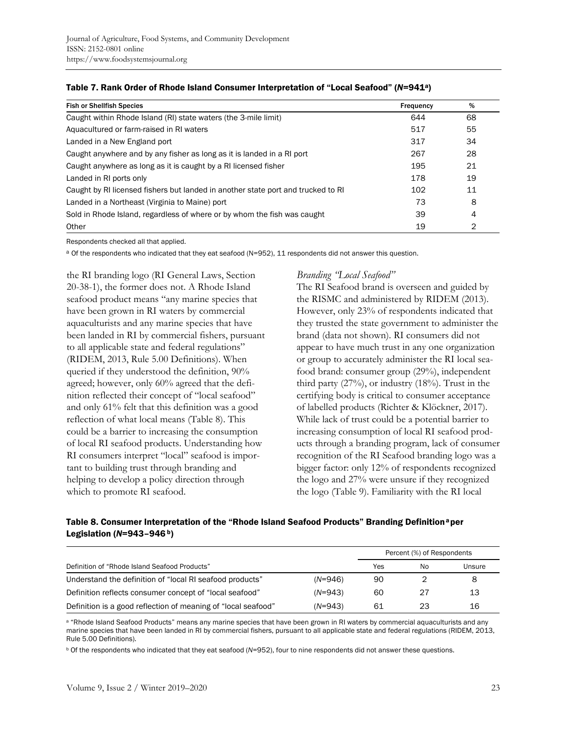| <b>Fish or Shellfish Species</b>                                                 | Frequency | %  |
|----------------------------------------------------------------------------------|-----------|----|
| Caught within Rhode Island (RI) state waters (the 3-mile limit)                  | 644       | 68 |
| Aquacultured or farm-raised in RI waters                                         | 517       | 55 |
| Landed in a New England port                                                     | 317       | 34 |
| Caught anywhere and by any fisher as long as it is landed in a RI port           | 267       | 28 |
| Caught anywhere as long as it is caught by a RI licensed fisher                  | 195       | 21 |
| Landed in RI ports only                                                          | 178       | 19 |
| Caught by RI licensed fishers but landed in another state port and trucked to RI | 102       | 11 |
| Landed in a Northeast (Virginia to Maine) port                                   | 73        | 8  |
| Sold in Rhode Island, regardless of where or by whom the fish was caught         | 39        | 4  |
| Other                                                                            | 19        | 2  |

#### Table 7. Rank Order of Rhode Island Consumer Interpretation of "Local Seafood" (*N*=941a)

Respondents checked all that applied.

a Of the respondents who indicated that they eat seafood (N=952), 11 respondents did not answer this question.

the RI branding logo (RI General Laws, Section 20-38-1), the former does not. A Rhode Island seafood product means "any marine species that have been grown in RI waters by commercial aquaculturists and any marine species that have been landed in RI by commercial fishers, pursuant to all applicable state and federal regulations" (RIDEM, 2013, Rule 5.00 Definitions). When queried if they understood the definition, 90% agreed; however, only 60% agreed that the definition reflected their concept of "local seafood" and only 61% felt that this definition was a good reflection of what local means (Table 8). This could be a barrier to increasing the consumption of local RI seafood products. Understanding how RI consumers interpret "local" seafood is important to building trust through branding and helping to develop a policy direction through which to promote RI seafood.

### *Branding "Local Seafood"*

The RI Seafood brand is overseen and guided by the RISMC and administered by RIDEM (2013). However, only 23% of respondents indicated that they trusted the state government to administer the brand (data not shown). RI consumers did not appear to have much trust in any one organization or group to accurately administer the RI local seafood brand: consumer group (29%), independent third party  $(27\%)$ , or industry  $(18\%)$ . Trust in the certifying body is critical to consumer acceptance of labelled products (Richter & Klöckner, 2017). While lack of trust could be a potential barrier to increasing consumption of local RI seafood products through a branding program, lack of consumer recognition of the RI Seafood branding logo was a bigger factor: only 12% of respondents recognized the logo and 27% were unsure if they recognized the logo (Table 9). Familiarity with the RI local

### Table 8. Consumer Interpretation of the "Rhode Island Seafood Products" Branding Definition<sup>a</sup> per Legislation (*N*=943–946 b)

|                                                               |           | Percent (%) of Respondents |    |        |  |
|---------------------------------------------------------------|-----------|----------------------------|----|--------|--|
| Definition of "Rhode Island Seafood Products"                 |           | Yes                        | No | Unsure |  |
| Understand the definition of "local RI seafood products"      | $(N=946)$ | 90                         |    | 8      |  |
| Definition reflects consumer concept of "local seafood"       | $(N=943)$ | 60                         | 27 | 13     |  |
| Definition is a good reflection of meaning of "local seafood" | $(N=943)$ | 61                         | 23 | 16     |  |

a "Rhode Island Seafood Products" means any marine species that have been grown in RI waters by commercial aquaculturists and any marine species that have been landed in RI by commercial fishers, pursuant to all applicable state and federal regulations (RIDEM, 2013, Rule 5.00 Definitions).

b Of the respondents who indicated that they eat seafood (*N*=952), four to nine respondents did not answer these questions.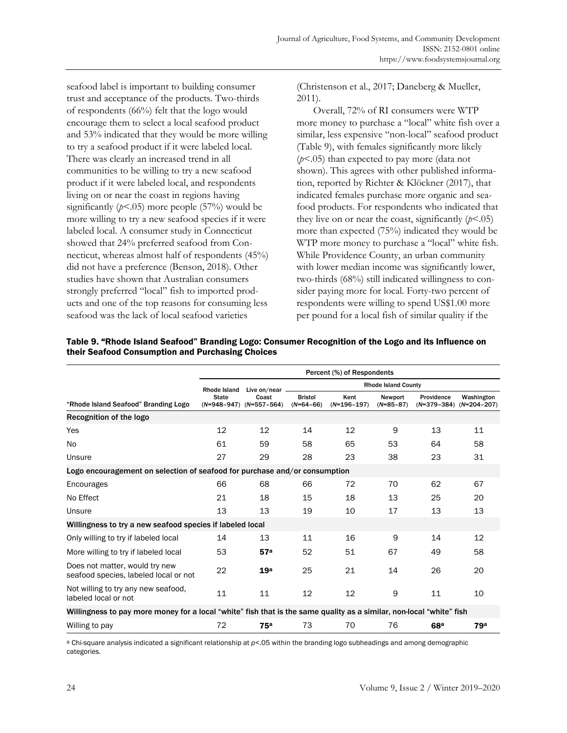seafood label is important to building consumer trust and acceptance of the products. Two-thirds of respondents (66%) felt that the logo would encourage them to select a local seafood product and 53% indicated that they would be more willing to try a seafood product if it were labeled local. There was clearly an increased trend in all communities to be willing to try a new seafood product if it were labeled local, and respondents living on or near the coast in regions having significantly  $(p<.05)$  more people (57%) would be more willing to try a new seafood species if it were labeled local. A consumer study in Connecticut showed that 24% preferred seafood from Connecticut, whereas almost half of respondents (45%) did not have a preference (Benson, 2018). Other studies have shown that Australian consumers strongly preferred "local" fish to imported products and one of the top reasons for consuming less seafood was the lack of local seafood varieties

(Christenson et al., 2017; Daneberg & Mueller, 2011).

 Overall, 72% of RI consumers were WTP more money to purchase a "local" white fish over a similar, less expensive "non-local" seafood product (Table 9), with females significantly more likely (*p*<.05) than expected to pay more (data not shown). This agrees with other published information, reported by Richter & Klöckner (2017), that indicated females purchase more organic and seafood products. For respondents who indicated that they live on or near the coast, significantly  $(p<.05)$ more than expected (75%) indicated they would be WTP more money to purchase a "local" white fish. While Providence County, an urban community with lower median income was significantly lower, two-thirds (68%) still indicated willingness to consider paying more for local. Forty-two percent of respondents were willing to spend US\$1.00 more per pound for a local fish of similar quality if the

|                                                                                                                      |              |                                      |                               | Percent (%) of Respondents |                        |                 |                                           |
|----------------------------------------------------------------------------------------------------------------------|--------------|--------------------------------------|-------------------------------|----------------------------|------------------------|-----------------|-------------------------------------------|
|                                                                                                                      | Rhode Island | Live on/near.                        | <b>Rhode Island County</b>    |                            |                        |                 |                                           |
| "Rhode Island Seafood" Branding Logo                                                                                 | <b>State</b> | Coast<br>$(N=948-947)$ $(N=557-564)$ | <b>Bristol</b><br>$(N=64-66)$ | Kent<br>$(N=196-197)$      | Newport<br>$(N=85-87)$ | Providence      | Washington<br>$(N=379-384)$ $(N=204-207)$ |
| Recognition of the logo                                                                                              |              |                                      |                               |                            |                        |                 |                                           |
| Yes                                                                                                                  | 12           | 12                                   | 14                            | 12                         | 9                      | 13              | 11                                        |
| N <sub>o</sub>                                                                                                       | 61           | 59                                   | 58                            | 65                         | 53                     | 64              | 58                                        |
| Unsure                                                                                                               | 27           | 29                                   | 28                            | 23                         | 38                     | 23              | 31                                        |
| Logo encouragement on selection of seafood for purchase and/or consumption                                           |              |                                      |                               |                            |                        |                 |                                           |
| Encourages                                                                                                           | 66           | 68                                   | 66                            | 72                         | 70                     | 62              | 67                                        |
| No Effect                                                                                                            | 21           | 18                                   | 15                            | 18                         | 13                     | 25              | 20                                        |
| Unsure                                                                                                               | 13           | 13                                   | 19                            | 10                         | 17                     | 13              | 13                                        |
| Willingness to try a new seafood species if labeled local                                                            |              |                                      |                               |                            |                        |                 |                                           |
| Only willing to try if labeled local                                                                                 | 14           | 13                                   | 11                            | 16                         | 9                      | 14              | 12                                        |
| More willing to try if labeled local                                                                                 | 53           | 57 <sup>a</sup>                      | 52                            | 51                         | 67                     | 49              | 58                                        |
| Does not matter, would try new<br>seafood species, labeled local or not                                              | 22           | 19 <sup>a</sup>                      | 25                            | 21                         | 14                     | 26              | 20                                        |
| Not willing to try any new seafood,<br>labeled local or not                                                          | 11           | 11                                   | 12                            | 12                         | 9                      | 11              | 10                                        |
| Willingness to pay more money for a local "white" fish that is the same quality as a similar, non-local "white" fish |              |                                      |                               |                            |                        |                 |                                           |
| Willing to pay                                                                                                       | 72           | 75 <sup>a</sup>                      | 73                            | 70                         | 76                     | 68 <sup>a</sup> | 79a                                       |

Table 9. "Rhode Island Seafood" Branding Logo: Consumer Recognition of the Logo and its Influence on their Seafood Consumption and Purchasing Choices

a Chi-square analysis indicated a significant relationship at *p*<.05 within the branding logo subheadings and among demographic categories.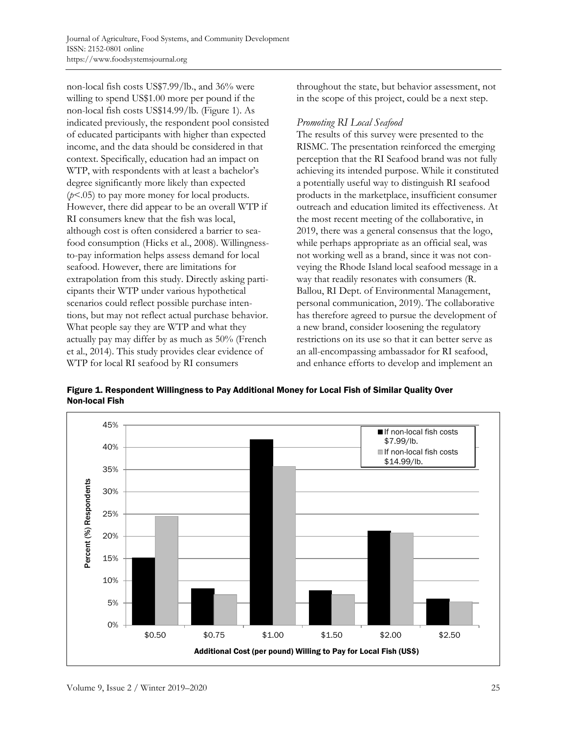non-local fish costs US\$7.99/lb., and 36% were willing to spend US\$1.00 more per pound if the non-local fish costs US\$14.99/lb. (Figure 1). As indicated previously, the respondent pool consisted of educated participants with higher than expected income, and the data should be considered in that context. Specifically, education had an impact on WTP, with respondents with at least a bachelor's degree significantly more likely than expected (*p*<.05) to pay more money for local products. However, there did appear to be an overall WTP if RI consumers knew that the fish was local, although cost is often considered a barrier to seafood consumption (Hicks et al., 2008). Willingnessto-pay information helps assess demand for local seafood. However, there are limitations for extrapolation from this study. Directly asking participants their WTP under various hypothetical scenarios could reflect possible purchase intentions, but may not reflect actual purchase behavior. What people say they are WTP and what they actually pay may differ by as much as 50% (French et al., 2014). This study provides clear evidence of WTP for local RI seafood by RI consumers

throughout the state, but behavior assessment, not in the scope of this project, could be a next step.

### *Promoting RI Local Seafood*

The results of this survey were presented to the RISMC. The presentation reinforced the emerging perception that the RI Seafood brand was not fully achieving its intended purpose. While it constituted a potentially useful way to distinguish RI seafood products in the marketplace, insufficient consumer outreach and education limited its effectiveness. At the most recent meeting of the collaborative, in 2019, there was a general consensus that the logo, while perhaps appropriate as an official seal, was not working well as a brand, since it was not conveying the Rhode Island local seafood message in a way that readily resonates with consumers (R. Ballou, RI Dept. of Environmental Management, personal communication, 2019). The collaborative has therefore agreed to pursue the development of a new brand, consider loosening the regulatory restrictions on its use so that it can better serve as an all-encompassing ambassador for RI seafood, and enhance efforts to develop and implement an

Figure 1. Respondent Willingness to Pay Additional Money for Local Fish of Similar Quality Over Non-local Fish

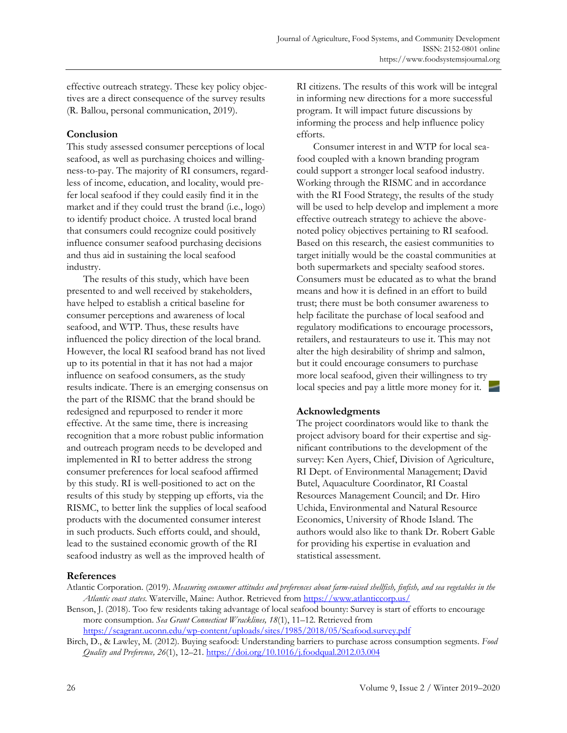effective outreach strategy. These key policy objectives are a direct consequence of the survey results (R. Ballou, personal communication, 2019).

# **Conclusion**

This study assessed consumer perceptions of local seafood, as well as purchasing choices and willingness-to-pay. The majority of RI consumers, regardless of income, education, and locality, would prefer local seafood if they could easily find it in the market and if they could trust the brand (i.e., logo) to identify product choice. A trusted local brand that consumers could recognize could positively influence consumer seafood purchasing decisions and thus aid in sustaining the local seafood industry.

 The results of this study, which have been presented to and well received by stakeholders, have helped to establish a critical baseline for consumer perceptions and awareness of local seafood, and WTP. Thus, these results have influenced the policy direction of the local brand. However, the local RI seafood brand has not lived up to its potential in that it has not had a major influence on seafood consumers, as the study results indicate. There is an emerging consensus on the part of the RISMC that the brand should be redesigned and repurposed to render it more effective. At the same time, there is increasing recognition that a more robust public information and outreach program needs to be developed and implemented in RI to better address the strong consumer preferences for local seafood affirmed by this study. RI is well-positioned to act on the results of this study by stepping up efforts, via the RISMC, to better link the supplies of local seafood products with the documented consumer interest in such products. Such efforts could, and should, lead to the sustained economic growth of the RI seafood industry as well as the improved health of

RI citizens. The results of this work will be integral in informing new directions for a more successful program. It will impact future discussions by informing the process and help influence policy efforts.

 Consumer interest in and WTP for local seafood coupled with a known branding program could support a stronger local seafood industry. Working through the RISMC and in accordance with the RI Food Strategy, the results of the study will be used to help develop and implement a more effective outreach strategy to achieve the abovenoted policy objectives pertaining to RI seafood. Based on this research, the easiest communities to target initially would be the coastal communities at both supermarkets and specialty seafood stores. Consumers must be educated as to what the brand means and how it is defined in an effort to build trust; there must be both consumer awareness to help facilitate the purchase of local seafood and regulatory modifications to encourage processors, retailers, and restaurateurs to use it. This may not alter the high desirability of shrimp and salmon, but it could encourage consumers to purchase more local seafood, given their willingness to try local species and pay a little more money for it.

# **Acknowledgments**

The project coordinators would like to thank the project advisory board for their expertise and significant contributions to the development of the survey: Ken Ayers, Chief, Division of Agriculture, RI Dept. of Environmental Management; David Butel, Aquaculture Coordinator, RI Coastal Resources Management Council; and Dr. Hiro Uchida, Environmental and Natural Resource Economics, University of Rhode Island. The authors would also like to thank Dr. Robert Gable for providing his expertise in evaluation and statistical assessment.

# **References**

Benson, J. (2018). Too few residents taking advantage of local seafood bounty: Survey is start of efforts to encourage more consumption. *Sea Grant Connecticut Wracklines, 18*(1), 11–12. Retrieved from https://seagrant.uconn.edu/wp-content/uploads/sites/1985/2018/05/Seafood.survey.pdf

Birch, D., & Lawley, M. (2012). Buying seafood: Understanding barriers to purchase across consumption segments. *Food Quality and Preference, 26*(1), 12–21. https://doi.org/10.1016/j.foodqual.2012.03.004

Atlantic Corporation. (2019). *Measuring consumer attitudes and preferences about farm-raised shellfish, finfish, and sea vegetables in the Atlantic coast states.* Waterville, Maine: Author. Retrieved from https://www.atlanticcorp.us/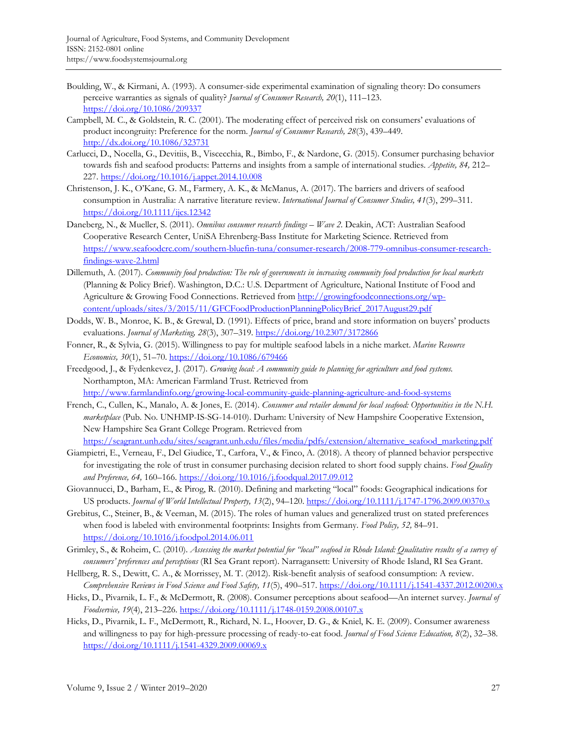- Boulding, W., & Kirmani, A. (1993). A consumer-side experimental examination of signaling theory: Do consumers perceive warranties as signals of quality? *Journal of Consumer Research, 20*(1), 111–123. https://doi.org/10.1086/209337
- Campbell, M. C., & Goldstein, R. C. (2001). The moderating effect of perceived risk on consumers' evaluations of product incongruity: Preference for the norm. *Journal of Consumer Research, 28*(3), 439–449. http://dx.doi.org/10.1086/323731
- Carlucci, D., Nocella, G., Devitiis, B., Viscecchia, R., Bimbo, F., & Nardone, G. (2015). Consumer purchasing behavior towards fish and seafood products: Patterns and insights from a sample of international studies. *Appetite, 84,* 212– 227. https://doi.org/10.1016/j.appet.2014.10.008
- Christenson, J. K., O'Kane, G. M., Farmery, A. K., & McManus, A. (2017). The barriers and drivers of seafood consumption in Australia: A narrative literature review. *International Journal of Consumer Studies, 41*(3), 299–311. https://doi.org/10.1111/ijcs.12342
- Daneberg, N., & Mueller, S. (2011). *Omnibus consumer research findings Wave 2.* Deakin, ACT: Australian Seafood Cooperative Research Center, UniSA Ehrenberg-Bass Institute for Marketing Science. Retrieved from [https://www.seafoodcrc.com/southern-bluefin-tuna/consumer-research/2008-779-omnibus-consumer-research](https://www.seafoodcrc.com/southern-bluefin-tuna/consumer-research/2008-779-omnibus-consumer-research-findings-wave-2.html)findings-wave-2.html
- Dillemuth, A. (2017). *Community food production: The role of governments in increasing community food production for local markets* (Planning & Policy Brief). Washington, D.C.: U.S. Department of Agriculture, National Institute of Food and [Agriculture & Growing Food Connections. Retrieved from http://growingfoodconnections.org/wp](http://growingfoodconnections.org/wp-content/uploads/sites/3/2015/11/GFCFoodProductionPlanningPolicyBrief_2017August29.pdf)content/uploads/sites/3/2015/11/GFCFoodProductionPlanningPolicyBrief\_2017August29.pdf
- Dodds, W. B., Monroe, K. B., & Grewal, D. (1991). Effects of price, brand and store information on buyers' products evaluations. *Journal of Marketing, 28*(3), 307–319. https://doi.org/10.2307/3172866
- Fonner, R., & Sylvia, G. (2015). Willingness to pay for multiple seafood labels in a niche market. *Marine Resource Economics, 30*(1), 51–70. https://doi.org/10.1086/679466
- Freedgood, J., & Fydenkevez, J. (2017). *Growing local: A community guide to planning for agriculture and food systems.* Northampton, MA: American Farmland Trust. Retrieved from

http://www.farmlandinfo.org/growing-local-community-guide-planning-agriculture-and-food-systems

French, C., Cullen, K., Manalo, A. & Jones, E. (2014). *Consumer and retailer demand for local seafood: Opportunities in the N.H. marketplace* (Pub. No. UNHMP-IS-SG-14-010). Durham: University of New Hampshire Cooperative Extension, New Hampshire Sea Grant College Program. Retrieved from

https://seagrant.unh.edu/sites/seagrant.unh.edu/files/media/pdfs/extension/alternative\_seafood\_marketing.pdf

- Giampietri, E., Verneau, F., Del Giudice, T., Carfora, V., & Finco, A. (2018). A theory of planned behavior perspective for investigating the role of trust in consumer purchasing decision related to short food supply chains. *Food Quality and Preference, 64,* 160–166. https://doi.org/10.1016/j.foodqual.2017.09.012
- Giovannucci, D., Barham, E., & Pirog, R. (2010). Defining and marketing "local" foods: Geographical indications for US products. *Journal of World Intellectual Property, 13*(2), 94–120. https://doi.org/10.1111/j.1747-1796.2009.00370.x
- Grebitus, C., Steiner, B., & Veeman, M. (2015). The roles of human values and generalized trust on stated preferences when food is labeled with environmental footprints: Insights from Germany. *Food Policy, 52,* 84–91. https://doi.org/10.1016/j.foodpol.2014.06.011
- Grimley, S., & Roheim, C. (2010). *Assessing the market potential for "local" seafood in Rhode Island: Qualitative results of a survey of consumers' preferences and perceptions* (RI Sea Grant report). Narragansett: University of Rhode Island, RI Sea Grant.
- Hellberg, R. S., Dewitt, C. A., & Morrissey, M. T. (2012). Risk-benefit analysis of seafood consumption: A review. *Comprehensive Reviews in Food Science and Food Safety, 11*(5), 490–517. https://doi.org/10.1111/j.1541-4337.2012.00200.x
- Hicks, D., Pivarnik, L. F., & McDermott, R. (2008). Consumer perceptions about seafood—An internet survey. *Journal of Foodservice, 19*(4), 213–226. https://doi.org/10.1111/j.1748-0159.2008.00107.x
- Hicks, D., Pivarnik, L. F., McDermott, R., Richard, N. L., Hoover, D. G., & Kniel, K. E. (2009). Consumer awareness and willingness to pay for high-pressure processing of ready-to-eat food. *Journal of Food Science Education, 8*(2), 32–38. https://doi.org/10.1111/j.1541-4329.2009.00069.x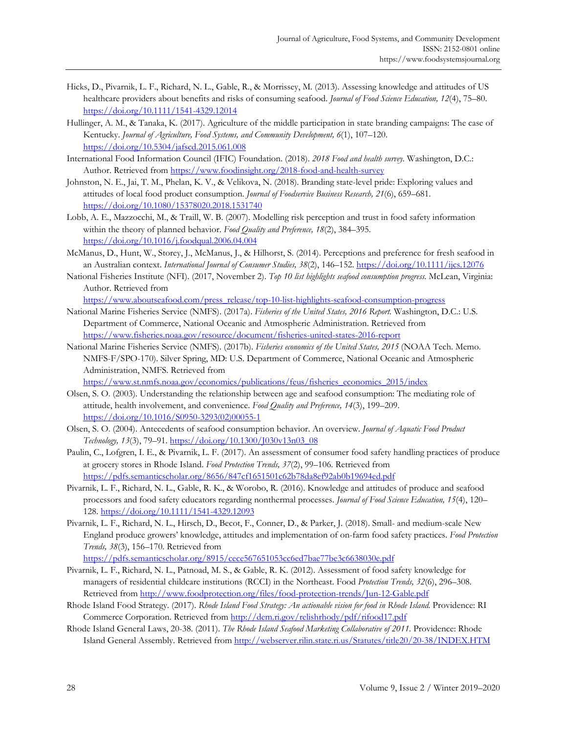- Hicks, D., Pivarnik, L. F., Richard, N. L., Gable, R., & Morrissey, M. (2013). Assessing knowledge and attitudes of US healthcare providers about benefits and risks of consuming seafood. *Journal of Food Science Education, 12*(4), 75–80. https://doi.org/10.1111/1541-4329.12014
- Hullinger, A. M., & Tanaka, K. (2017). Agriculture of the middle participation in state branding campaigns: The case of Kentucky. *Journal of Agriculture, Food Systems, and Community Development, 6*(1), 107–120. https://doi.org/10.5304/jafscd.2015.061.008
- International Food Information Council (IFIC) Foundation. (2018). *2018 Food and health survey.* Washington, D.C.: Author. Retrieved from https://www.foodinsight.org/2018-food-and-health-survey
- Johnston, N. E., Jai, T. M., Phelan, K. V., & Velikova, N. (2018). Branding state-level pride: Exploring values and attitudes of local food product consumption. *Journal of Foodservice Business Research, 21*(6), 659–681. https://doi.org/10.1080/15378020.2018.1531740
- Lobb, A. E., Mazzocchi, M., & Traill, W. B. (2007). Modelling risk perception and trust in food safety information within the theory of planned behavior. *Food Quality and Preference, 18*(2), 384–395. https://doi.org/10.1016/j.foodqual.2006.04.004
- McManus, D., Hunt, W., Storey, J., McManus, J., & Hilhorst, S. (2014). Perceptions and preference for fresh seafood in an Australian context. *International Journal of Consumer Studies, 38*(2), 146–152. https://doi.org/10.1111/ijcs.12076
- National Fisheries Institute (NFI). (2017, November 2). *Top 10 list highlights seafood consumption progress.* McLean, Virginia: Author. Retrieved from

https://www.aboutseafood.com/press\_release/top-10-list-highlights-seafood-consumption-progress

- National Marine Fisheries Service (NMFS). (2017a). *Fisheries of the United States, 2016 Report.* Washington, D.C.: U.S. Department of Commerce, National Oceanic and Atmospheric Administration. Retrieved from https://www.fisheries.noaa.gov/resource/document/fisheries-united-states-2016-report
- National Marine Fisheries Service (NMFS). (2017b). *Fisheries economics of the United States, 2015* (NOAA Tech. Memo. NMFS-F/SPO-170). Silver Spring, MD: U.S. Department of Commerce, National Oceanic and Atmospheric Administration, NMFS. Retrieved from

https://www.st.nmfs.noaa.gov/economics/publications/feus/fisheries\_economics\_2015/index

- Olsen, S. O. (2003). Understanding the relationship between age and seafood consumption: The mediating role of attitude, health involvement, and convenience. *Food Quality and Preference, 14*(3), 199–209. [https://doi.org/10.1016/S0950-3293\(02\)00055-1](https://doi.org/10.1016/S0950-3293(02)00055-1)
- Olsen, S. O. (2004). Antecedents of seafood consumption behavior. An overview. *Journal of Aquatic Food Product Technology, 13*(3), 79–91. https://doi.org/10.1300/J030v13n03\_08
- Paulin, C., Lofgren, I. E., & Pivarnik, L. F. (2017). An assessment of consumer food safety handling practices of produce at grocery stores in Rhode Island. *Food Protection Trends, 37*(2), 99–106. Retrieved from https://pdfs.semanticscholar.org/8656/847cf1651501c62b78da8ef92ab0b19694ed.pdf
- Pivarnik, L. F., Richard, N. L., Gable, R. K., & Worobo, R. (2016). Knowledge and attitudes of produce and seafood processors and food safety educators regarding nonthermal processes. *Journal of Food Science Education, 15*(4), 120– 128. https://doi.org/10.1111/1541-4329.12093
- Pivarnik, L. F., Richard, N. L., Hirsch, D., Becot, F., Conner, D., & Parker, J. (2018). Small- and medium-scale New England produce growers' knowledge, attitudes and implementation of on-farm food safety practices. *Food Protection Trends, 38*(3), 156–170. Retrieved from

https://pdfs.semanticscholar.org/8915/cece567651053cc6ed7bae77be3c6638030e.pdf

- Pivarnik, L. F., Richard, N. L., Patnoad, M. S., & Gable, R. K. (2012). Assessment of food safety knowledge for managers of residential childcare institutions (RCCI) in the Northeast. Food *Protection Trends, 32*(6), 296–308. Retrieved from http://www.foodprotection.org/files/food-protection-trends/Jun-12-Gable.pdf
- Rhode Island Food Strategy. (2017). *Rhode Island Food Strategy: An actionable vision for food in Rhode Island.* Providence: RI Commerce Corporation. Retrieved from http://dem.ri.gov/relishrhody/pdf/rifood17.pdf
- Rhode Island General Laws, 20-38. (2011). *The Rhode Island Seafood Marketing Collaborative of 2011.* Providence: Rhode Island General Assembly. Retrieved from http://webserver.rilin.state.ri.us/Statutes/title20/20-38/INDEX.HTM